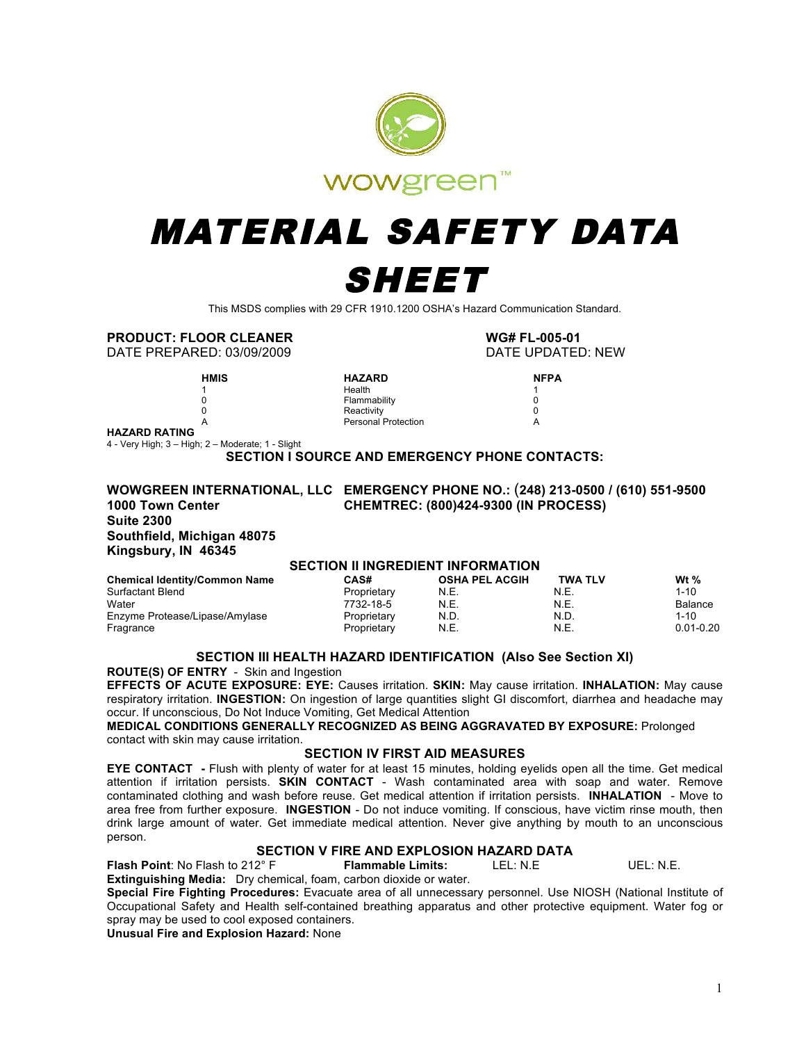

# MATERIAL SAFETY DATA SHEET

This MSDS complies with 29 CFR 1910.1200 OSHA's Hazard Communication Standard.

### **PRODUCT: FLOOR CLEANER WG# FL-005-01**

DATE PREPARED: 03/09/2009 DATE UPDATED: NEW

**HMIS HAZARD NFPA NFPA 1** 

**1 1 Health** 1 0 Flammability 0 0 Reactivity 0 A Personal Protection A

**HAZARD RATING**

4 - Very High; 3 – High; 2 – Moderate; 1 - Slight

**SECTION I SOURCE AND EMERGENCY PHONE CONTACTS:** 

#### **WOWGREEN INTERNATIONAL, LLC EMERGENCY PHONE NO.:** (**248) 213-0500 / (610) 551-9500 1000 Town Center CHEMTREC: (800)424-9300 (IN PROCESS) Suite 2300 Southfield, Michigan 48075 Kingsbury, IN 46345**

#### **SECTION II INGREDIENT INFORMATION**

| <b>Chemical Identity/Common Name</b> | <b>CAS#</b> | <b>OSHA PEL ACGIH</b> | <b>TWA TLV</b> | Wt $%$         |
|--------------------------------------|-------------|-----------------------|----------------|----------------|
| Surfactant Blend                     | Proprietary | N.E.                  | N.E.           | $1 - 10$       |
| Water                                | 7732-18-5   | N.E.                  | N.E.           | <b>Balance</b> |
| Enzyme Protease/Lipase/Amylase       | Proprietary | N.D.                  | N.D.           | $1 - 10$       |
| Fragrance                            | Proprietary | N.E.                  | N.E.           | $0.01 - 0.20$  |

#### **SECTION III HEALTH HAZARD IDENTIFICATION (Also See Section XI)**

**ROUTE(S) OF ENTRY** - Skin and Ingestion

**EFFECTS OF ACUTE EXPOSURE: EYE:** Causes irritation. **SKIN:** May cause irritation. **INHALATION:** May cause respiratory irritation. **INGESTION:** On ingestion of large quantities slight GI discomfort, diarrhea and headache may occur. If unconscious, Do Not Induce Vomiting, Get Medical Attention

**MEDICAL CONDITIONS GENERALLY RECOGNIZED AS BEING AGGRAVATED BY EXPOSURE:** Prolonged contact with skin may cause irritation.

#### **SECTION IV FIRST AID MEASURES**

**EYE CONTACT -** Flush with plenty of water for at least 15 minutes, holding eyelids open all the time. Get medical attention if irritation persists. **SKIN CONTACT** - Wash contaminated area with soap and water. Remove contaminated clothing and wash before reuse. Get medical attention if irritation persists. **INHALATION** - Move to area free from further exposure. **INGESTION** - Do not induce vomiting. If conscious, have victim rinse mouth, then drink large amount of water. Get immediate medical attention. Never give anything by mouth to an unconscious person.

## **SECTION V FIRE AND EXPLOSION HAZARD DATA**

**Flash Point**: No Flash to 212° F **Flammable Limits:** LEL: N.E UEL: N.E.

**Extinguishing Media:** Dry chemical, foam, carbon dioxide or water.

**Special Fire Fighting Procedures:** Evacuate area of all unnecessary personnel. Use NIOSH (National Institute of Occupational Safety and Health self-contained breathing apparatus and other protective equipment. Water fog or spray may be used to cool exposed containers.

**Unusual Fire and Explosion Hazard:** None